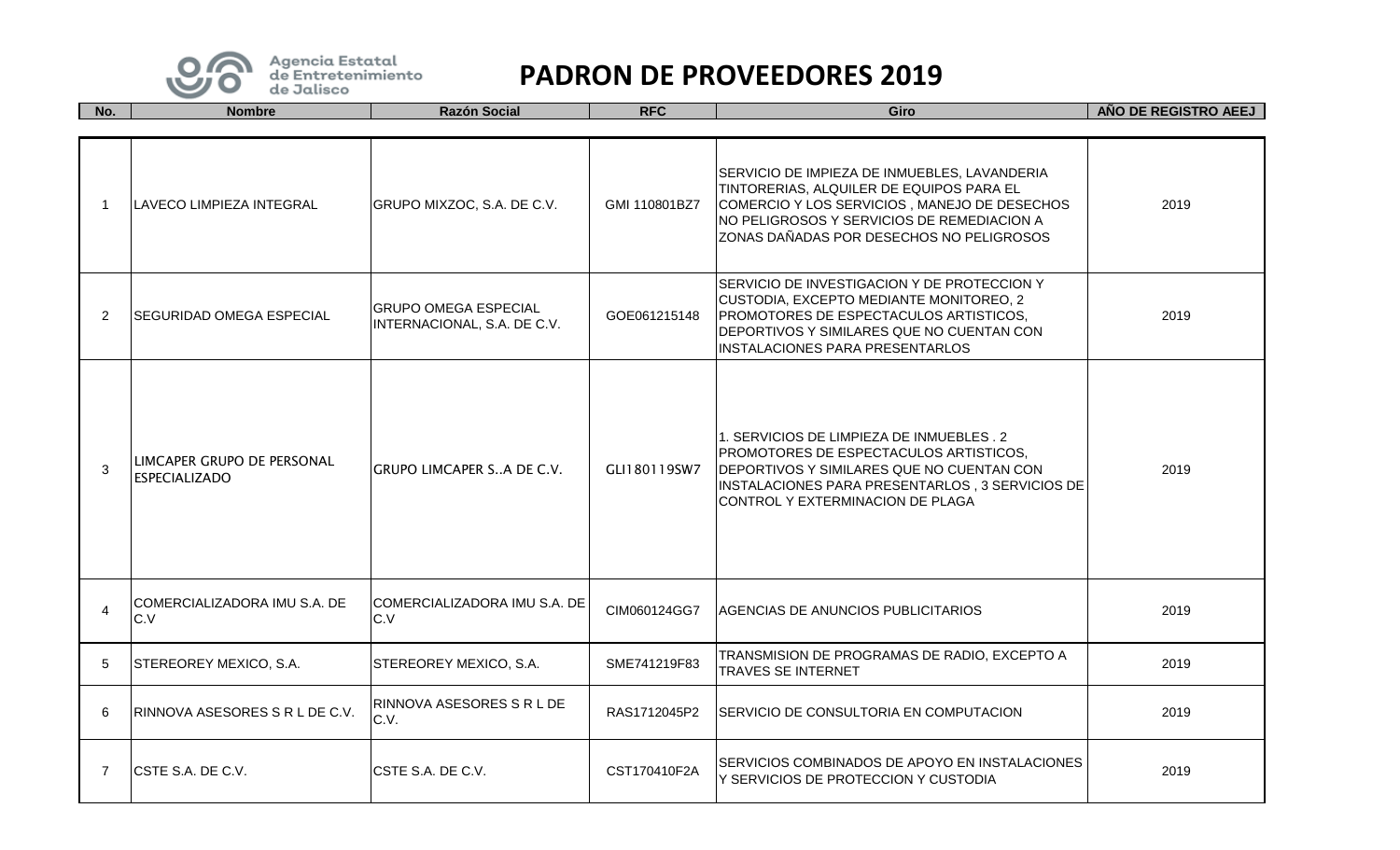

| No.            | <b>Nombre</b>                                       | <b>Razón Social</b>                                        | <b>RFC</b>    | Giro                                                                                                                                                                                                                               | ANO DE REGISTRO AEEJ |
|----------------|-----------------------------------------------------|------------------------------------------------------------|---------------|------------------------------------------------------------------------------------------------------------------------------------------------------------------------------------------------------------------------------------|----------------------|
|                |                                                     |                                                            |               |                                                                                                                                                                                                                                    |                      |
| -1             | <b>LAVECO LIMPIEZA INTEGRAL</b>                     | GRUPO MIXZOC, S.A. DE C.V.                                 | GMI 110801BZ7 | SERVICIO DE IMPIEZA DE INMUEBLES, LAVANDERIA<br>TINTORERIAS, ALQUILER DE EQUIPOS PARA EL<br>COMERCIO Y LOS SERVICIOS, MANEJO DE DESECHOS<br>NO PELIGROSOS Y SERVICIOS DE REMEDIACION A<br>ZONAS DAÑADAS POR DESECHOS NO PELIGROSOS | 2019                 |
| 2              | ISEGURIDAD OMEGA ESPECIAL                           | <b>GRUPO OMEGA ESPECIAL</b><br>INTERNACIONAL, S.A. DE C.V. | GOE061215148  | SERVICIO DE INVESTIGACION Y DE PROTECCION Y<br>CUSTODIA, EXCEPTO MEDIANTE MONITOREO, 2<br>PROMOTORES DE ESPECTACULOS ARTISTICOS,<br>DEPORTIVOS Y SIMILARES QUE NO CUENTAN CON<br><b>INSTALACIONES PARA PRESENTARLOS</b>            | 2019                 |
| 3              | ILIMCAPER GRUPO DE PERSONAL<br><b>ESPECIALIZADO</b> | GRUPO LIMCAPER SA DE C.V.                                  | GLI180119SW7  | 1. SERVICIOS DE LIMPIEZA DE INMUEBLES. 2<br>PROMOTORES DE ESPECTACULOS ARTISTICOS,<br>DEPORTIVOS Y SIMILARES QUE NO CUENTAN CON<br>INSTALACIONES PARA PRESENTARLOS, 3 SERVICIOS DE<br>CONTROL Y EXTERMINACION DE PLAGA             | 2019                 |
| $\overline{4}$ | ICOMERCIALIZADORA IMU S.A. DE<br>C.V                | COMERCIALIZADORA IMU S.A. DE<br>C.V                        | CIM060124GG7  | <b>AGENCIAS DE ANUNCIOS PUBLICITARIOS</b>                                                                                                                                                                                          | 2019                 |
| 5              | STEREOREY MEXICO, S.A.                              | STEREOREY MEXICO, S.A.                                     | SME741219F83  | TRANSMISION DE PROGRAMAS DE RADIO, EXCEPTO A<br><b>TRAVES SE INTERNET</b>                                                                                                                                                          | 2019                 |
| 6              | RINNOVA ASESORES S R L DE C.V.                      | RINNOVA ASESORES S R L DE<br>C.V.                          | RAS1712045P2  | SERVICIO DE CONSULTORIA EN COMPUTACION                                                                                                                                                                                             | 2019                 |
| 7              | ICSTE S.A. DE C.V.                                  | CSTE S.A. DE C.V.                                          | CST170410F2A  | SERVICIOS COMBINADOS DE APOYO EN INSTALACIONES<br>Y SERVICIOS DE PROTECCION Y CUSTODIA                                                                                                                                             | 2019                 |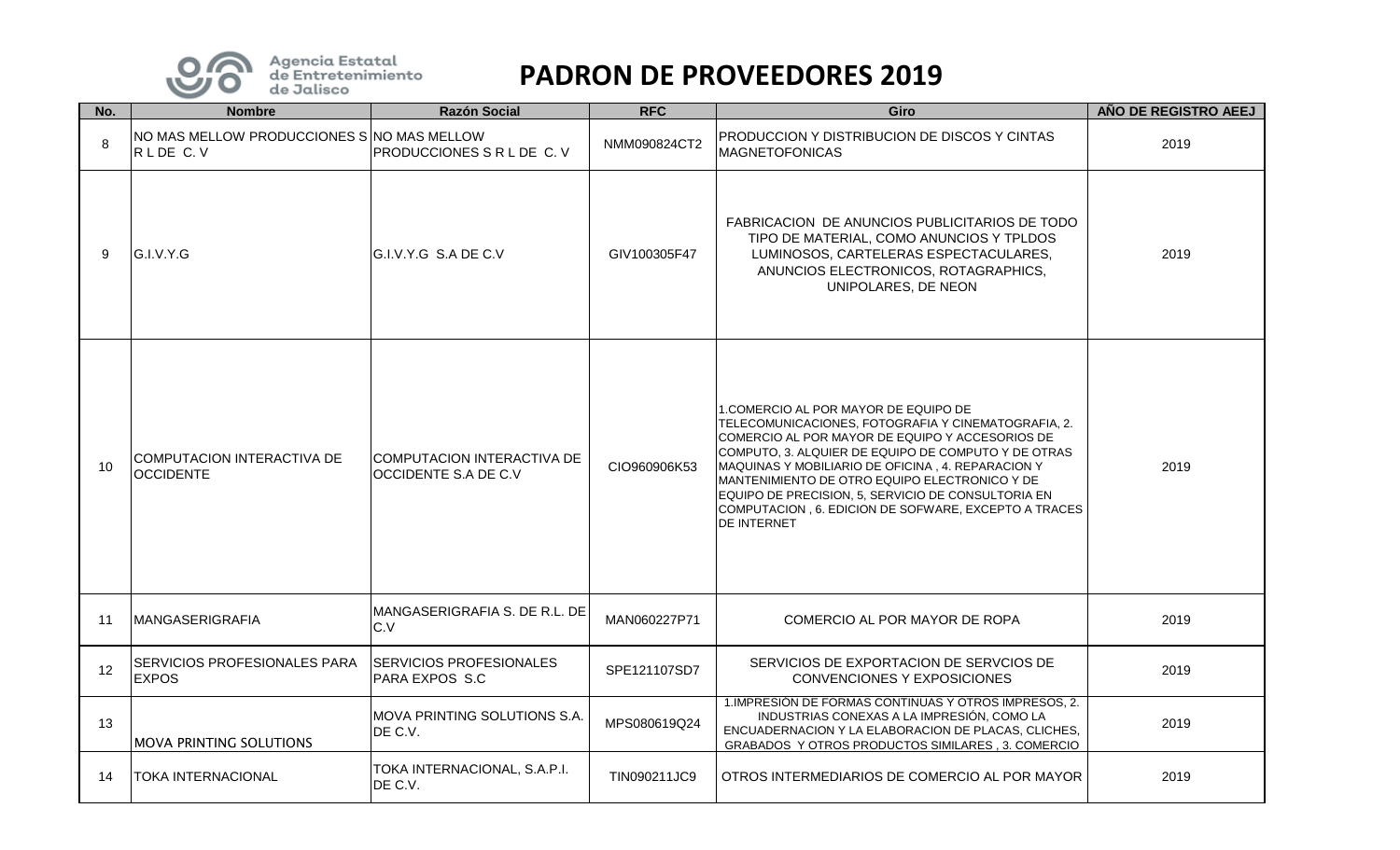

| No. | <b>Nombre</b>                                          | <b>Razón Social</b>                                         | <b>RFC</b>   | Giro                                                                                                                                                                                                                                                                                                                                                                                                                                      | AÑO DE REGISTRO AEEJ |
|-----|--------------------------------------------------------|-------------------------------------------------------------|--------------|-------------------------------------------------------------------------------------------------------------------------------------------------------------------------------------------------------------------------------------------------------------------------------------------------------------------------------------------------------------------------------------------------------------------------------------------|----------------------|
| 8   | NO MAS MELLOW PRODUCCIONES SINO MAS MELLOW<br>RLDE C.V | <b>PRODUCCIONES S R L DE C. V</b>                           | NMM090824CT2 | PRODUCCION Y DISTRIBUCION DE DISCOS Y CINTAS<br><b>MAGNETOFONICAS</b>                                                                                                                                                                                                                                                                                                                                                                     | 2019                 |
| 9   | G.I.V.Y.G                                              | IG.I.V.Y.G S.A DE C.V                                       | GIV100305F47 | FABRICACION DE ANUNCIOS PUBLICITARIOS DE TODO<br>TIPO DE MATERIAL, COMO ANUNCIOS Y TPLDOS<br>LUMINOSOS, CARTELERAS ESPECTACULARES,<br>ANUNCIOS ELECTRONICOS, ROTAGRAPHICS,<br>UNIPOLARES, DE NEON                                                                                                                                                                                                                                         | 2019                 |
| 10  | COMPUTACION INTERACTIVA DE<br><b>OCCIDENTE</b>         | ICOMPUTACION INTERACTIVA DE<br><b>IOCCIDENTE S.A DE C.V</b> | CIO960906K53 | 1.COMERCIO AL POR MAYOR DE EQUIPO DE<br>TELECOMUNICACIONES, FOTOGRAFIA Y CINEMATOGRAFIA, 2.<br>COMERCIO AL POR MAYOR DE EQUIPO Y ACCESORIOS DE<br>COMPUTO, 3. ALQUIER DE EQUIPO DE COMPUTO Y DE OTRAS<br>MAQUINAS Y MOBILIARIO DE OFICINA, 4. REPARACION Y<br>MANTENIMIENTO DE OTRO EQUIPO ELECTRONICO Y DE<br>EQUIPO DE PRECISION, 5, SERVICIO DE CONSULTORIA EN<br>COMPUTACION , 6. EDICION DE SOFWARE, EXCEPTO A TRACES<br>DE INTERNET | 2019                 |
| 11  | <b>MANGASERIGRAFIA</b>                                 | IMANGASERIGRAFIA S. DE R.L. DE<br>C.V                       | MAN060227P71 | COMERCIO AL POR MAYOR DE ROPA                                                                                                                                                                                                                                                                                                                                                                                                             | 2019                 |
| 12  | SERVICIOS PROFESIONALES PARA<br><b>EXPOS</b>           | <b>SERVICIOS PROFESIONALES</b><br>PARA EXPOS S.C            | SPE121107SD7 | SERVICIOS DE EXPORTACION DE SERVCIOS DE<br>CONVENCIONES Y EXPOSICIONES                                                                                                                                                                                                                                                                                                                                                                    | 2019                 |
| 13  | MOVA PRINTING SOLUTIONS                                | IMOVA PRINTING SOLUTIONS S.A.<br>DE C.V.                    | MPS080619Q24 | 1. IMPRESIÓN DE FORMAS CONTINUAS Y OTROS IMPRESOS, 2.<br>INDUSTRIAS CONEXAS A LA IMPRESIÓN, COMO LA<br>ENCUADERNACION Y LA ELABORACION DE PLACAS, CLICHES,<br>GRABADOS Y OTROS PRODUCTOS SIMILARES, 3. COMERCIO                                                                                                                                                                                                                           | 2019                 |
| 14  | <b>TOKA INTERNACIONAL</b>                              | TOKA INTERNACIONAL, S.A.P.I.<br>DE C.V.                     | TIN090211JC9 | OTROS INTERMEDIARIOS DE COMERCIO AL POR MAYOR                                                                                                                                                                                                                                                                                                                                                                                             | 2019                 |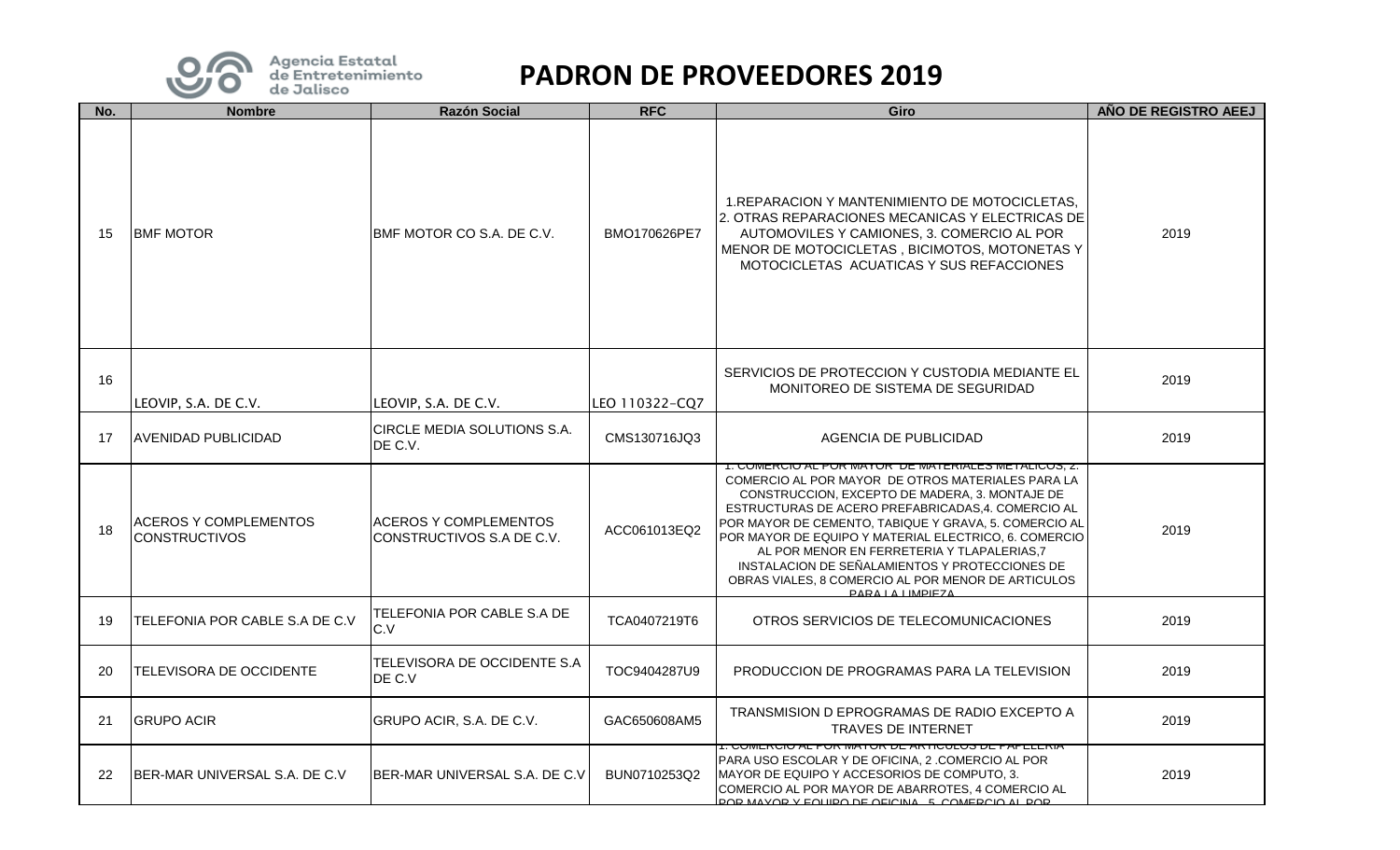

| No. | <b>Nombre</b>                                        | <b>Razón Social</b>                                       | <b>RFC</b>     | Giro                                                                                                                                                                                                                                                                                                                                                                                                                                                                                                                | AÑO DE REGISTRO AEEJ |
|-----|------------------------------------------------------|-----------------------------------------------------------|----------------|---------------------------------------------------------------------------------------------------------------------------------------------------------------------------------------------------------------------------------------------------------------------------------------------------------------------------------------------------------------------------------------------------------------------------------------------------------------------------------------------------------------------|----------------------|
| 15  | <b>BMF MOTOR</b>                                     | IBMF MOTOR CO S.A. DE C.V.                                | BMO170626PE7   | 1. REPARACION Y MANTENIMIENTO DE MOTOCICLETAS.<br>2. OTRAS REPARACIONES MECANICAS Y ELECTRICAS DE<br>AUTOMOVILES Y CAMIONES, 3. COMERCIO AL POR<br>MENOR DE MOTOCICLETAS, BICIMOTOS, MOTONETAS Y<br>MOTOCICLETAS ACUATICAS Y SUS REFACCIONES                                                                                                                                                                                                                                                                        | 2019                 |
| 16  | LEOVIP, S.A. DE C.V.                                 | LEOVIP, S.A. DE C.V.                                      | LEO 110322-CQ7 | SERVICIOS DE PROTECCION Y CUSTODIA MEDIANTE EL<br>MONITOREO DE SISTEMA DE SEGURIDAD                                                                                                                                                                                                                                                                                                                                                                                                                                 | 2019                 |
| 17  | <b>AVENIDAD PUBLICIDAD</b>                           | CIRCLE MEDIA SOLUTIONS S.A.<br>DE C.V.                    | CMS130716JQ3   | <b>AGENCIA DE PUBLICIDAD</b>                                                                                                                                                                                                                                                                                                                                                                                                                                                                                        | 2019                 |
| 18  | <b>ACEROS Y COMPLEMENTOS</b><br><b>CONSTRUCTIVOS</b> | <b>ACEROS Y COMPLEMENTOS</b><br>CONSTRUCTIVOS S.A DE C.V. | ACC061013EQ2   | <u>1. COMERCIO AL POR MAYORI DE MATERIALES METALICOS, Z.</u><br>COMERCIO AL POR MAYOR DE OTROS MATERIALES PARA LA<br>CONSTRUCCION. EXCEPTO DE MADERA, 3. MONTAJE DE<br>ESTRUCTURAS DE ACERO PREFABRICADAS, 4. COMERCIO AL<br>POR MAYOR DE CEMENTO, TABIQUE Y GRAVA, 5. COMERCIO AL<br>POR MAYOR DE EQUIPO Y MATERIAL ELECTRICO, 6. COMERCIO<br>AL POR MENOR EN FERRETERIA Y TLAPALERIAS.7<br>INSTALACION DE SEÑALAMIENTOS Y PROTECCIONES DE<br>OBRAS VIALES, 8 COMERCIO AL POR MENOR DE ARTICULOS<br>PARAIA IMPIEZA | 2019                 |
| 19  | TELEFONIA POR CABLE S.A DE C.V                       | TELEFONIA POR CABLE S.A DE<br>C.V                         | TCA0407219T6   | OTROS SERVICIOS DE TELECOMUNICACIONES                                                                                                                                                                                                                                                                                                                                                                                                                                                                               | 2019                 |
| 20  | TELEVISORA DE OCCIDENTE                              | TELEVISORA DE OCCIDENTE S.A<br>DE C.V                     | TOC9404287U9   | PRODUCCION DE PROGRAMAS PARA LA TELEVISION                                                                                                                                                                                                                                                                                                                                                                                                                                                                          | 2019                 |
| 21  | <b>GRUPO ACIR</b>                                    | GRUPO ACIR, S.A. DE C.V.                                  | GAC650608AM5   | TRANSMISION D EPROGRAMAS DE RADIO EXCEPTO A<br><b>TRAVES DE INTERNET</b>                                                                                                                                                                                                                                                                                                                                                                                                                                            | 2019                 |
| 22  | BER-MAR UNIVERSAL S.A. DE C.V                        | BER-MAR UNIVERSAL S.A. DE C.V                             | BUN0710253Q2   | <u>I. UUMERUIU AL PUR MATUR DE ARTIUULUS DE PAPELERIA</u><br>PARA USO ESCOLAR Y DE OFICINA, 2 .COMERCIO AL POR<br>MAYOR DE EQUIPO Y ACCESORIOS DE COMPUTO, 3.<br>COMERCIO AL POR MAYOR DE ABARROTES, 4 COMERCIO AL<br>DOD MAVOD V EQHIDO DE OFICINA - 5. COMEDCIO AL DOD.                                                                                                                                                                                                                                           | 2019                 |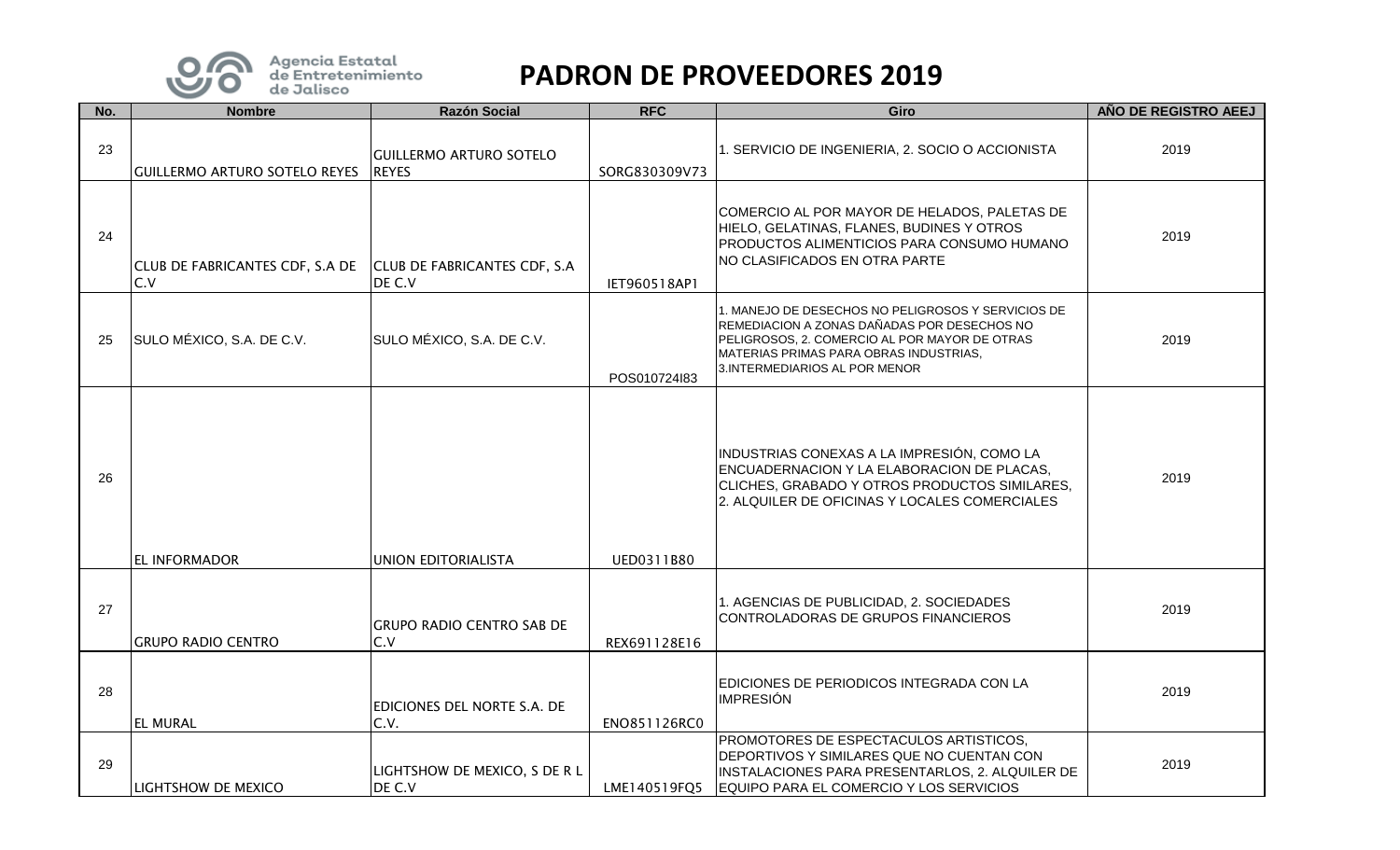

| No. | <b>Nombre</b>                          | <b>Razón Social</b>                            | <b>RFC</b>    | Giro                                                                                                                                                                                                                           | AÑO DE REGISTRO AEEJ |
|-----|----------------------------------------|------------------------------------------------|---------------|--------------------------------------------------------------------------------------------------------------------------------------------------------------------------------------------------------------------------------|----------------------|
| 23  | <b>GUILLERMO ARTURO SOTELO REYES</b>   | <b>GUILLERMO ARTURO SOTELO</b><br><b>REYES</b> | SORG830309V73 | 1. SERVICIO DE INGENIERIA, 2. SOCIO O ACCIONISTA                                                                                                                                                                               | 2019                 |
| 24  | CLUB DE FABRICANTES CDF, S.A DE<br>C.V | <b>CLUB DE FABRICANTES CDF, S.A.</b><br>DE C.V | IET960518AP1  | COMERCIO AL POR MAYOR DE HELADOS, PALETAS DE<br>HIELO, GELATINAS, FLANES, BUDINES Y OTROS<br>PRODUCTOS ALIMENTICIOS PARA CONSUMO HUMANO<br>NO CLASIFICADOS EN OTRA PARTE                                                       | 2019                 |
| 25  | SULO MÉXICO, S.A. DE C.V.              | SULO MÉXICO, S.A. DE C.V.                      | POS010724l83  | 1. MANEJO DE DESECHOS NO PELIGROSOS Y SERVICIOS DE<br>REMEDIACION A ZONAS DAÑADAS POR DESECHOS NO<br>PELIGROSOS, 2. COMERCIO AL POR MAYOR DE OTRAS<br>MATERIAS PRIMAS PARA OBRAS INDUSTRIAS,<br>3. INTERMEDIARIOS AL POR MENOR | 2019                 |
| 26  | <b>EL INFORMADOR</b>                   | UNION EDITORIALISTA                            | UED0311B80    | INDUSTRIAS CONEXAS A LA IMPRESIÓN, COMO LA<br>ENCUADERNACION Y LA ELABORACION DE PLACAS,<br>CLICHES, GRABADO Y OTROS PRODUCTOS SIMILARES,<br>2. ALQUILER DE OFICINAS Y LOCALES COMERCIALES                                     | 2019                 |
| 27  | <b>GRUPO RADIO CENTRO</b>              | <b>GRUPO RADIO CENTRO SAB DE</b><br>C.V        | REX691128E16  | 1. AGENCIAS DE PUBLICIDAD, 2. SOCIEDADES<br>CONTROLADORAS DE GRUPOS FINANCIEROS                                                                                                                                                | 2019                 |
| 28  | <b>EL MURAL</b>                        | <b>EDICIONES DEL NORTE S.A. DE</b><br>C.V.     | ENO851126RC0  | EDICIONES DE PERIODICOS INTEGRADA CON LA<br><b>IMPRESIÓN</b>                                                                                                                                                                   | 2019                 |
| 29  | LIGHTSHOW DE MEXICO                    | LIGHTSHOW DE MEXICO, S DE R L<br>DE C.V        | LME140519FQ5  | PROMOTORES DE ESPECTACULOS ARTISTICOS.<br>DEPORTIVOS Y SIMILARES QUE NO CUENTAN CON<br>INSTALACIONES PARA PRESENTARLOS, 2. ALQUILER DE<br>EQUIPO PARA EL COMERCIO Y LOS SERVICIOS                                              | 2019                 |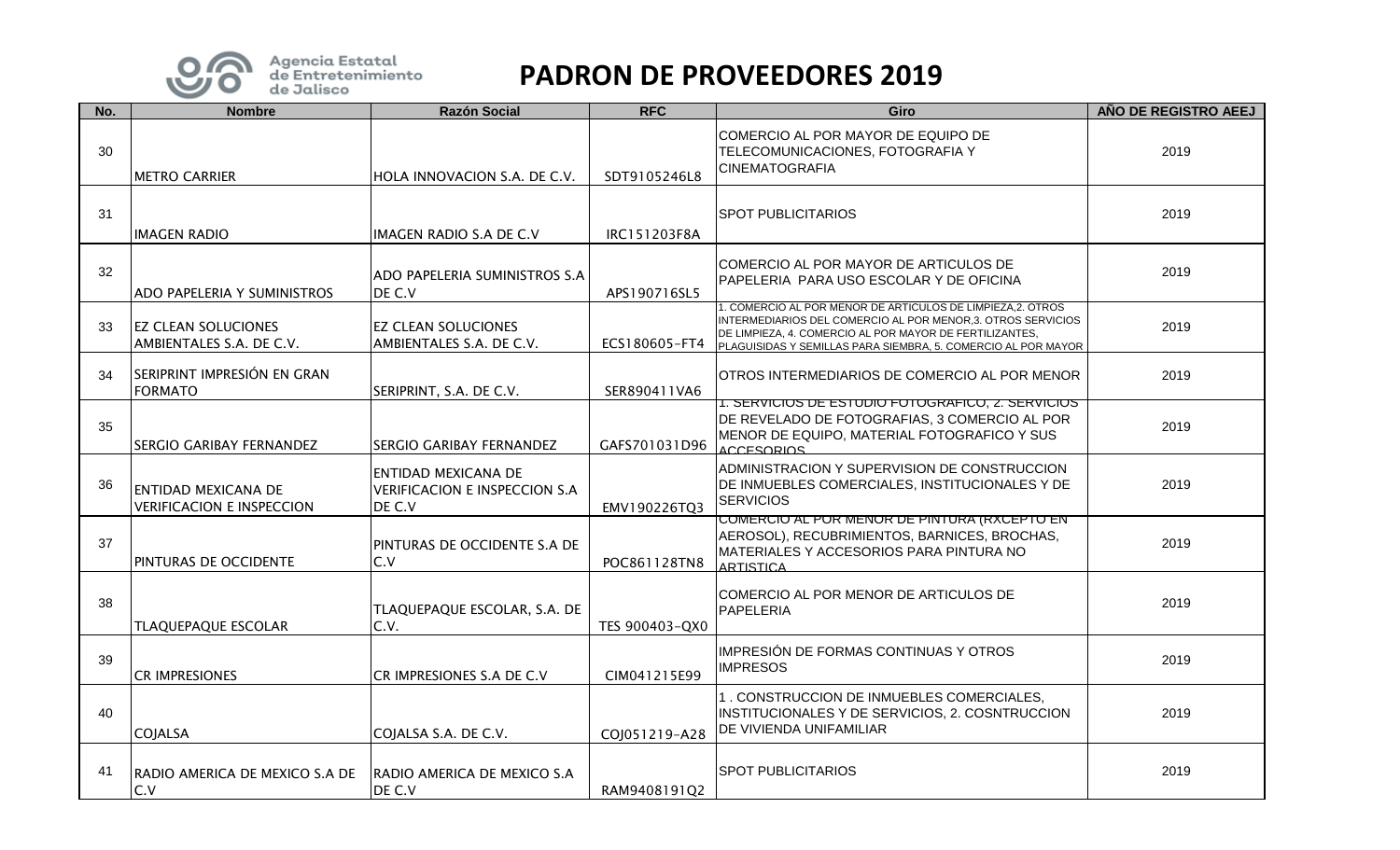

| No. | <b>Nombre</b>                                                  | <b>Razón Social</b>                                                          | <b>RFC</b>     | Giro                                                                                                                                                                                                                                                  | AÑO DE REGISTRO AEEJ |
|-----|----------------------------------------------------------------|------------------------------------------------------------------------------|----------------|-------------------------------------------------------------------------------------------------------------------------------------------------------------------------------------------------------------------------------------------------------|----------------------|
| 30  | <b>METRO CARRIER</b>                                           | HOLA INNOVACION S.A. DE C.V.                                                 | SDT9105246L8   | COMERCIO AL POR MAYOR DE EQUIPO DE<br>TELECOMUNICACIONES, FOTOGRAFIA Y<br>CINEMATOGRAFIA                                                                                                                                                              | 2019                 |
| 31  | <b>IMAGEN RADIO</b>                                            | IMAGEN RADIO S.A DE C.V                                                      | IRC151203F8A   | <b>SPOT PUBLICITARIOS</b>                                                                                                                                                                                                                             | 2019                 |
| 32  | ADO PAPELERIA Y SUMINISTROS                                    | ADO PAPELERIA SUMINISTROS S.A<br>DE C.V                                      | APS190716SL5   | COMERCIO AL POR MAYOR DE ARTICULOS DE<br>PAPELERIA PARA USO ESCOLAR Y DE OFICINA                                                                                                                                                                      | 2019                 |
| 33  | <b>EZ CLEAN SOLUCIONES</b><br>AMBIENTALES S.A. DE C.V.         | <b>EZ CLEAN SOLUCIONES</b><br>AMBIENTALES S.A. DE C.V.                       | ECS180605-FT4  | 1. COMERCIO AL POR MENOR DE ARTICULOS DE LIMPIEZA,2. OTROS<br>INTERMEDIARIOS DEL COMERCIO AL POR MENOR,3. OTROS SERVICIOS<br>DE LIMPIEZA, 4. COMERCIO AL POR MAYOR DE FERTILIZANTES,<br>PLAGUISIDAS Y SEMILLAS PARA SIEMBRA, 5. COMERCIO AL POR MAYOR | 2019                 |
| 34  | SERIPRINT IMPRESIÓN EN GRAN<br><b>FORMATO</b>                  | SERIPRINT, S.A. DE C.V.                                                      | SER890411VA6   | OTROS INTERMEDIARIOS DE COMERCIO AL POR MENOR                                                                                                                                                                                                         | 2019                 |
| 35  | <b>SERGIO GARIBAY FERNANDEZ</b>                                | SERGIO GARIBAY FERNANDEZ                                                     | GAFS701031D96  | <u>1. SERVICIOS DE ESTUDIO FOTOGRAFICO, 2. SERVICIOS </u><br>DE REVELADO DE FOTOGRAFIAS, 3 COMERCIO AL POR<br>MENOR DE EQUIPO, MATERIAL FOTOGRAFICO Y SUS<br><b>ACCESORIOS</b>                                                                        | 2019                 |
| 36  | <b>ENTIDAD MEXICANA DE</b><br><b>VERIFICACION E INSPECCION</b> | <b>ENTIDAD MEXICANA DE</b><br><b>VERIFICACION E INSPECCION S.A</b><br>DE C.V | EMV190226TQ3   | ADMINISTRACION Y SUPERVISION DE CONSTRUCCION<br>DE INMUEBLES COMERCIALES, INSTITUCIONALES Y DE<br><b>SERVICIOS</b>                                                                                                                                    | 2019                 |
| 37  | PINTURAS DE OCCIDENTE                                          | PINTURAS DE OCCIDENTE S.A DE<br>C.V                                          | POC861128TN8   | COMERCIO AL POR MENOR DE PINTURA (RXCEPTO EN<br>AEROSOL), RECUBRIMIENTOS, BARNICES, BROCHAS,<br>MATERIALES Y ACCESORIOS PARA PINTURA NO<br><b>ARTISTICA</b>                                                                                           | 2019                 |
| 38  | TLAQUEPAQUE ESCOLAR                                            | TLAQUEPAQUE ESCOLAR, S.A. DE<br>C.V.                                         | TES 900403-QX0 | COMERCIO AL POR MENOR DE ARTICULOS DE<br>PAPELERIA                                                                                                                                                                                                    | 2019                 |
| 39  | <b>CR IMPRESIONES</b>                                          | CR IMPRESIONES S.A DE C.V                                                    | CIM041215E99   | IMPRESIÓN DE FORMAS CONTINUAS Y OTROS<br><b>IMPRESOS</b>                                                                                                                                                                                              | 2019                 |
| 40  | <b>COJALSA</b>                                                 | COJALSA S.A. DE C.V.                                                         | COJ051219-A28  | 1. CONSTRUCCION DE INMUEBLES COMERCIALES,<br>INSTITUCIONALES Y DE SERVICIOS, 2. COSNTRUCCION<br>DE VIVIENDA UNIFAMILIAR                                                                                                                               | 2019                 |
| 41  | RADIO AMERICA DE MEXICO S.A DE<br>C.V                          | RADIO AMERICA DE MEXICO S.A<br>DE C.V                                        | RAM9408191Q2   | <b>SPOT PUBLICITARIOS</b>                                                                                                                                                                                                                             | 2019                 |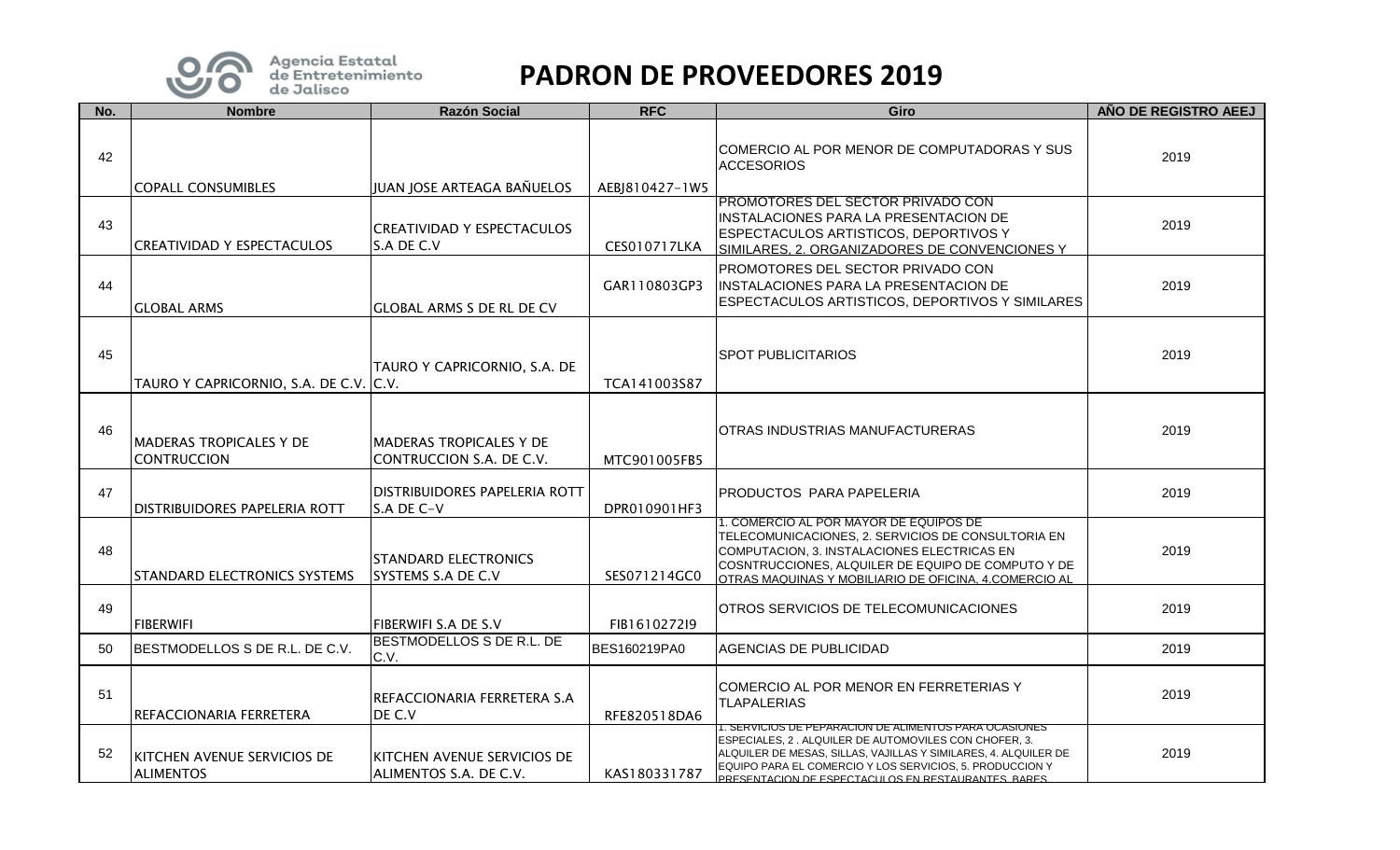

| No. | <b>Nombre</b>                                        | <b>Razón Social</b>                                   | <b>RFC</b>     | Giro                                                                                                                                                                                                                                                                                                           | AÑO DE REGISTRO AEEJ |
|-----|------------------------------------------------------|-------------------------------------------------------|----------------|----------------------------------------------------------------------------------------------------------------------------------------------------------------------------------------------------------------------------------------------------------------------------------------------------------------|----------------------|
| 42  | <b>COPALL CONSUMIBLES</b>                            | JUAN JOSE ARTEAGA BAÑUELOS                            | AEBJ810427-1W5 | COMERCIO AL POR MENOR DE COMPUTADORAS Y SUS<br><b>ACCESORIOS</b>                                                                                                                                                                                                                                               | 2019                 |
| 43  | <b>CREATIVIDAD Y ESPECTACULOS</b>                    | <b>CREATIVIDAD Y ESPECTACULOS</b><br>S.A DE C.V       | CES010717LKA   | IPROMOTORES DEL SECTOR PRIVADO CON<br>INSTALACIONES PARA LA PRESENTACION DE<br><b>ESPECTACULOS ARTISTICOS, DEPORTIVOS Y</b><br>SIMILARES. 2. ORGANIZADORES DE CONVENCIONES Y                                                                                                                                   | 2019                 |
| 44  | <b>GLOBAL ARMS</b>                                   | <b>GLOBAL ARMS S DE RL DE CV</b>                      | GAR110803GP3   | PROMOTORES DEL SECTOR PRIVADO CON<br>INSTALACIONES PARA LA PRESENTACION DE<br>ESPECTACULOS ARTISTICOS, DEPORTIVOS Y SIMILARES                                                                                                                                                                                  | 2019                 |
| 45  | TAURO Y CAPRICORNIO, S.A. DE C.V. C.V.               | TAURO Y CAPRICORNIO, S.A. DE                          | TCA141003S87   | <b>SPOT PUBLICITARIOS</b>                                                                                                                                                                                                                                                                                      | 2019                 |
| 46  | <b>MADERAS TROPICALES Y DE</b><br><b>CONTRUCCION</b> | IMADERAS TROPICALES Y DE<br>CONTRUCCION S.A. DE C.V.  | MTC901005FB5   | IOTRAS INDUSTRIAS MANUFACTURERAS                                                                                                                                                                                                                                                                               | 2019                 |
| 47  | <b>DISTRIBUIDORES PAPELERIA ROTT</b>                 | <b>DISTRIBUIDORES PAPELERIA ROTT</b><br>S.A DE C-V    | DPR010901HF3   | <b>PRODUCTOS PARA PAPELERIA</b>                                                                                                                                                                                                                                                                                | 2019                 |
| 48  | <b>STANDARD ELECTRONICS SYSTEMS</b>                  | <b>STANDARD ELECTRONICS</b><br>SYSTEMS S.A DE C.V     | SES071214GC0   | 1. COMERCIO AL POR MAYOR DE EQUIPOS DE<br>TELECOMUNICACIONES, 2. SERVICIOS DE CONSULTORIA EN<br>COMPUTACION, 3. INSTALACIONES ELECTRICAS EN<br>COSNTRUCCIONES, ALQUILER DE EQUIPO DE COMPUTO Y DE<br>OTRAS MAQUINAS Y MOBILIARIO DE OFICINA, 4.COMERCIO AL                                                     | 2019                 |
| 49  | <b>FIBERWIFI</b>                                     | <b>FIBERWIFI S.A DE S.V</b>                           | FIB161027219   | <b>OTROS SERVICIOS DE TELECOMUNICACIONES</b>                                                                                                                                                                                                                                                                   | 2019                 |
| 50  | BESTMODELLOS S DE R.L. DE C.V.                       | BESTMODELLOS S DE R.L. DE<br>C.V.                     | BES160219PA0   | <b>AGENCIAS DE PUBLICIDAD</b>                                                                                                                                                                                                                                                                                  | 2019                 |
| 51  | REFACCIONARIA FERRETERA                              | REFACCIONARIA FERRETERA S.A<br>DE C.V                 | RFE820518DA6   | COMERCIO AL POR MENOR EN FERRETERIAS Y<br><b>TLAPALERIAS</b>                                                                                                                                                                                                                                                   | 2019                 |
| 52  | KITCHEN AVENUE SERVICIOS DE<br><b>ALIMENTOS</b>      | KITCHEN AVENUE SERVICIOS DE<br>ALIMENTOS S.A. DE C.V. | KAS180331787   | <u>1. SERVICIOS DE PEPARACION DE ALIMENTOS PARA OCASIONES</u><br>ESPECIALES, 2. ALQUILER DE AUTOMOVILES CON CHOFER, 3.<br>ALQUILER DE MESAS, SILLAS, VAJILLAS Y SIMILARES, 4. ALQUILER DE<br>EQUIPO PARA EL COMERCIO Y LOS SERVICIOS, 5. PRODUCCION Y<br>PRESENTACION DE ESPECTACIJI OS EN RESTAURANTES, BARES | 2019                 |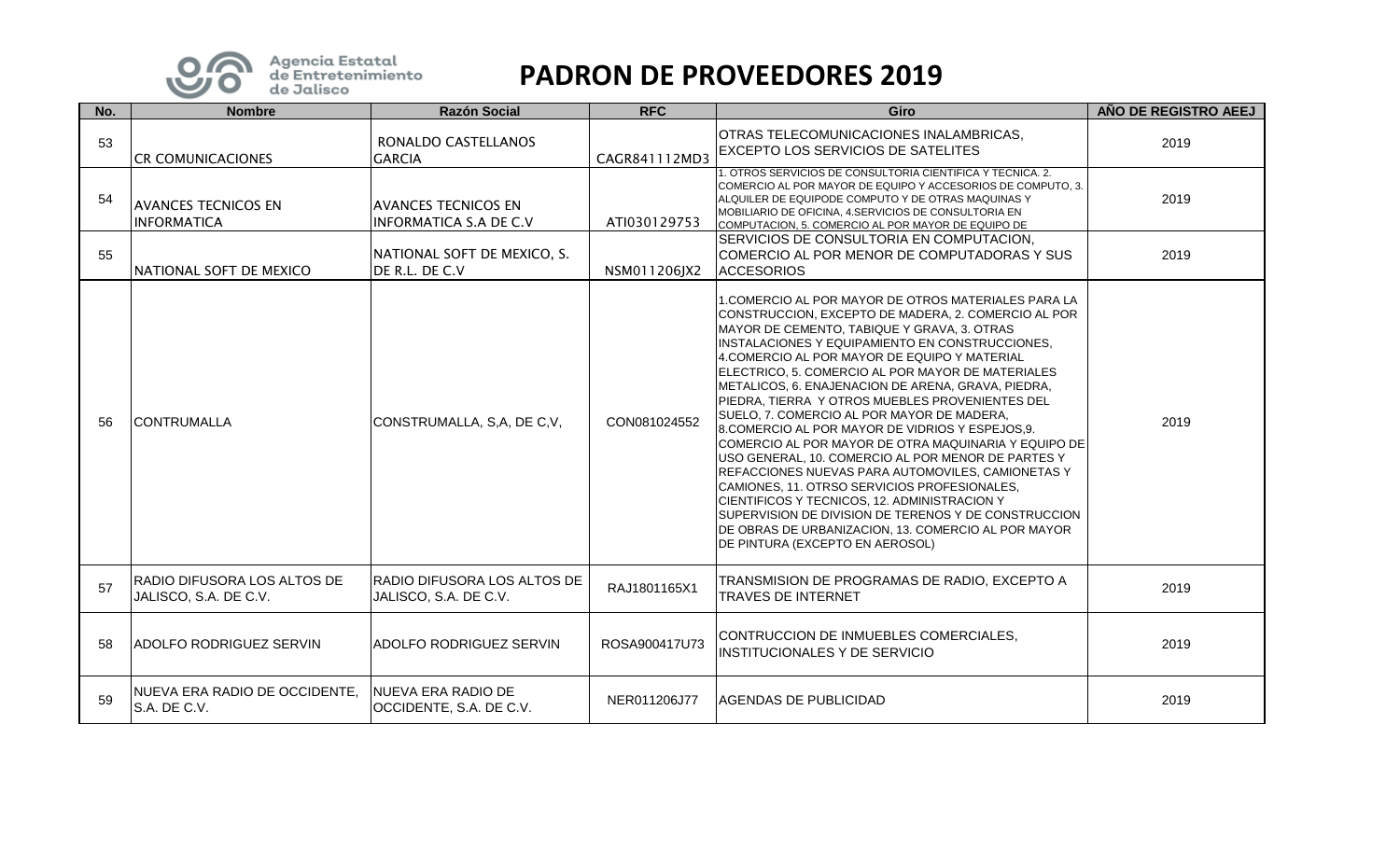

| No. | <b>Nombre</b>                                        | <b>Razón Social</b>                                         | <b>RFC</b>    | <b>Giro</b>                                                                                                                                                                                                                                                                                                                                                                                                                                                                                                                                                                                                                                                                                                                                                                                                                                                                                                                                          | AÑO DE REGISTRO AEEJ |
|-----|------------------------------------------------------|-------------------------------------------------------------|---------------|------------------------------------------------------------------------------------------------------------------------------------------------------------------------------------------------------------------------------------------------------------------------------------------------------------------------------------------------------------------------------------------------------------------------------------------------------------------------------------------------------------------------------------------------------------------------------------------------------------------------------------------------------------------------------------------------------------------------------------------------------------------------------------------------------------------------------------------------------------------------------------------------------------------------------------------------------|----------------------|
| 53  | <b>CR COMUNICACIONES</b>                             | RONALDO CASTELLANOS<br><b>GARCIA</b>                        | CAGR841112MD3 | OTRAS TELECOMUNICACIONES INALAMBRICAS,<br><b>EXCEPTO LOS SERVICIOS DE SATELITES</b>                                                                                                                                                                                                                                                                                                                                                                                                                                                                                                                                                                                                                                                                                                                                                                                                                                                                  | 2019                 |
| 54  | <b>AVANCES TECNICOS EN</b><br><b>INFORMATICA</b>     | <b>AVANCES TECNICOS EN</b><br><b>INFORMATICA S.A DE C.V</b> | ATI030129753  | 1. OTROS SERVICIOS DE CONSULTORIA CIENTIFICA Y TECNICA. 2.<br>COMERCIO AL POR MAYOR DE EQUIPO Y ACCESORIOS DE COMPUTO, 3.<br>ALQUILER DE EQUIPODE COMPUTO Y DE OTRAS MAQUINAS Y<br>MOBILIARIO DE OFICINA, 4. SERVICIOS DE CONSULTORIA EN<br>COMPUTACION, 5. COMERCIO AL POR MAYOR DE EQUIPO DE                                                                                                                                                                                                                                                                                                                                                                                                                                                                                                                                                                                                                                                       | 2019                 |
| 55  | NATIONAL SOFT DE MEXICO                              | NATIONAL SOFT DE MEXICO, S.<br>DE R.L. DE C.V               | NSM011206JX2  | SERVICIOS DE CONSULTORIA EN COMPUTACION,<br>COMERCIO AL POR MENOR DE COMPUTADORAS Y SUS<br><b>ACCESORIOS</b>                                                                                                                                                                                                                                                                                                                                                                                                                                                                                                                                                                                                                                                                                                                                                                                                                                         | 2019                 |
| 56  | <b>CONTRUMALLA</b>                                   | CONSTRUMALLA, S,A, DE C,V,                                  | CON081024552  | l1.COMERCIO AL POR MAYOR DE OTROS MATERIALES PARA LA<br>CONSTRUCCION, EXCEPTO DE MADERA, 2. COMERCIO AL POR<br>MAYOR DE CEMENTO, TABIQUE Y GRAVA, 3. OTRAS<br>INSTALACIONES Y EQUIPAMIENTO EN CONSTRUCCIONES,<br>4.COMERCIO AL POR MAYOR DE EQUIPO Y MATERIAL<br>ELECTRICO, 5. COMERCIO AL POR MAYOR DE MATERIALES<br>METALICOS, 6. ENAJENACION DE ARENA, GRAVA, PIEDRA,<br>PIEDRA, TIERRA Y OTROS MUEBLES PROVENIENTES DEL<br>SUELO, 7. COMERCIO AL POR MAYOR DE MADERA,<br>8.COMERCIO AL POR MAYOR DE VIDRIOS Y ESPEJOS,9.<br>COMERCIO AL POR MAYOR DE OTRA MAQUINARIA Y EQUIPO DE<br>USO GENERAL, 10. COMERCIO AL POR MENOR DE PARTES Y<br>REFACCIONES NUEVAS PARA AUTOMOVILES, CAMIONETAS Y<br>CAMIONES, 11. OTRSO SERVICIOS PROFESIONALES,<br>CIENTIFICOS Y TECNICOS, 12. ADMINISTRACION Y<br>ISUPERVISION DE DIVISION DE TERENOS Y DE CONSTRUCCION I<br>DE OBRAS DE URBANIZACION, 13. COMERCIO AL POR MAYOR<br>DE PINTURA (EXCEPTO EN AEROSOL) | 2019                 |
| 57  | RADIO DIFUSORA LOS ALTOS DE<br>JALISCO, S.A. DE C.V. | RADIO DIFUSORA LOS ALTOS DE<br>JALISCO, S.A. DE C.V.        | RAJ1801165X1  | TRANSMISION DE PROGRAMAS DE RADIO, EXCEPTO A<br><b>TRAVES DE INTERNET</b>                                                                                                                                                                                                                                                                                                                                                                                                                                                                                                                                                                                                                                                                                                                                                                                                                                                                            | 2019                 |
| 58  | <b>ADOLFO RODRIGUEZ SERVIN</b>                       | <b>ADOLFO RODRIGUEZ SERVIN</b>                              | ROSA900417U73 | CONTRUCCION DE INMUEBLES COMERCIALES,<br><b>INSTITUCIONALES Y DE SERVICIO</b>                                                                                                                                                                                                                                                                                                                                                                                                                                                                                                                                                                                                                                                                                                                                                                                                                                                                        | 2019                 |
| 59  | NUEVA ERA RADIO DE OCCIDENTE,<br>S.A. DE C.V.        | NUEVA ERA RADIO DE<br>OCCIDENTE, S.A. DE C.V.               | NER011206J77  | <b>AGENDAS DE PUBLICIDAD</b>                                                                                                                                                                                                                                                                                                                                                                                                                                                                                                                                                                                                                                                                                                                                                                                                                                                                                                                         | 2019                 |